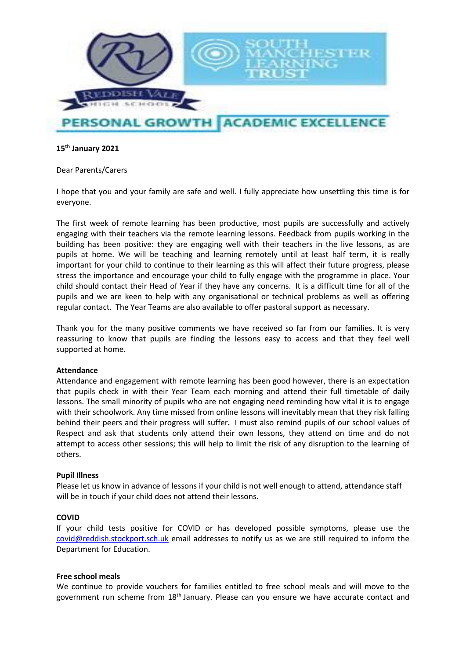

### **15th January 2021**

### Dear Parents/Carers

I hope that you and your family are safe and well. I fully appreciate how unsettling this time is for everyone.

The first week of remote learning has been productive, most pupils are successfully and actively engaging with their teachers via the remote learning lessons. Feedback from pupils working in the building has been positive: they are engaging well with their teachers in the live lessons, as are pupils at home. We will be teaching and learning remotely until at least half term, it is really important for your child to continue to their learning as this will affect their future progress, please stress the importance and encourage your child to fully engage with the programme in place. Your child should contact their Head of Year if they have any concerns. It is a difficult time for all of the pupils and we are keen to help with any organisational or technical problems as well as offering regular contact. The Year Teams are also available to offer pastoral support as necessary.

Thank you for the many positive comments we have received so far from our families. It is very reassuring to know that pupils are finding the lessons easy to access and that they feel well supported at home.

### **Attendance**

Attendance and engagement with remote learning has been good however, there is an expectation that pupils check in with their Year Team each morning and attend their full timetable of daily lessons. The small minority of pupils who are not engaging need reminding how vital it is to engage with their schoolwork. Any time missed from online lessons will inevitably mean that they risk falling behind their peers and their progress will suffer*.* I must also remind pupils of our school values of Respect and ask that students only attend their own lessons, they attend on time and do not attempt to access other sessions; this will help to limit the risk of any disruption to the learning of others.

### **Pupil Illness**

Please let us know in advance of lessons if your child is not well enough to attend, attendance staff will be in touch if your child does not attend their lessons.

### **COVID**

If your child tests positive for COVID or has developed possible symptoms, please use the [covid@reddish.stockport.sch.uk](mailto:covid@reddish.stockport.sch.uk) email addresses to notify us as we are still required to inform the Department for Education.

### **Free school meals**

We continue to provide vouchers for families entitled to free school meals and will move to the government run scheme from 18th January. Please can you ensure we have accurate contact and